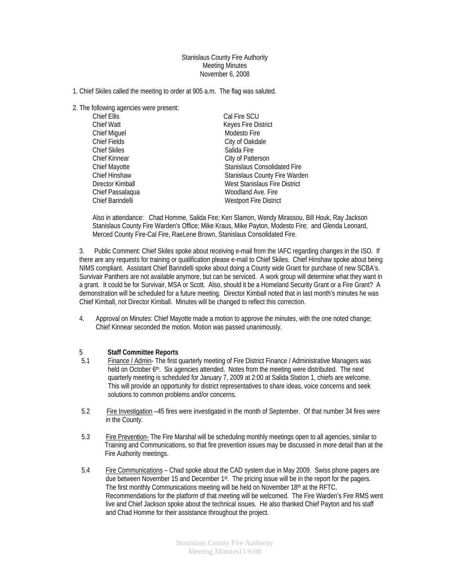## Stanislaus County Fire Authority Meeting Minutes November 6, 2008

- 1. Chief Skiles called the meeting to order at 905 a.m. The flag was saluted.
- 2. The following agencies were present:

| Chief Ellis          | Cal Fire SCU                         |
|----------------------|--------------------------------------|
| <b>Chief Watt</b>    | Keyes Fire District                  |
| <b>Chief Miguel</b>  | Modesto Fire                         |
| <b>Chief Fields</b>  | City of Oakdale                      |
| <b>Chief Skiles</b>  | Salida Fire                          |
| <b>Chief Kinnear</b> | City of Patterson                    |
| Chief Mayotte        | Stanislaus Consolidated Fire         |
| <b>Chief Hinshaw</b> | <b>Stanislaus County Fire Warden</b> |
| Director Kimball     | West Stanislaus Fire District        |
| Chief Passalaqua     | Woodland Ave. Fire                   |
| Chief Barindelli     | Westport Fire District               |

Also in attendance: Chad Homme, Salida Fire; Ken Slamon, Wendy Mirassou, Bill Houk, Ray Jackson Stanislaus County Fire Warden's Office; Mike Kraus, Mike Payton, Modesto Fire; and Glenda Leonard, Merced County Fire-Cal Fire, RaeLene Brown, Stanislaus Consolidated Fire.

3. Public Comment: Chief Skiles spoke about receiving e-mail from the IAFC regarding changes in the ISO. If there are any requests for training or qualification please e-mail to Chief Skiles. Chief Hinshaw spoke about being NIMS compliant. Assistant Chief Barindelli spoke about doing a County wide Grant for purchase of new SCBA's. Survivair Panthers are not available anymore, but can be serviced. A work group will determine what they want in a grant. It could be for Survivair, MSA or Scott. Also, should it be a Homeland Security Grant or a Fire Grant? A demonstration will be scheduled for a future meeting. Director Kimball noted that in last month's minutes he was Chief Kimball, not Director Kimball. Minutes will be changed to reflect this correction.

4. Approval on Minutes: Chief Mayotte made a motion to approve the minutes, with the one noted change; Chief Kinnear seconded the motion. Motion was passed unanimously.

## 5 **Staff Committee Reports**

- 5.1 Finance / Admin- The first quarterly meeting of Fire District Finance / Administrative Managers was held on October 6<sup>th</sup>. Six agencies attended. Notes from the meeting were distributed. The next quarterly meeting is scheduled for January 7, 2009 at 2:00 at Salida Station 1, chiefs are welcome. This will provide an opportunity for district representatives to share ideas, voice concerns and seek solutions to common problems and/or concerns.
- 5.2 Fire Investigation –45 fires were investigated in the month of September. Of that number 34 fires were in the County.
- 5.3 Fire Prevention- The Fire Marshal will be scheduling monthly meetings open to all agencies, similar to Training and Communications, so that fire prevention issues may be discussed in more detail than at the Fire Authority meetings.
- 5.4 Fire Communications Chad spoke about the CAD system due in May 2009. Swiss phone pagers are due between November 15 and December 1<sup>st</sup>. The pricing issue will be in the report for the pagers. The first monthly Communications meeting will be held on November 18th at the RFTC. Recommendations for the platform of that meeting will be welcomed. The Fire Warden's Fire RMS went live and Chief Jackson spoke about the technical issues. He also thanked Chief Payton and his staff and Chad Homme for their assistance throughout the project.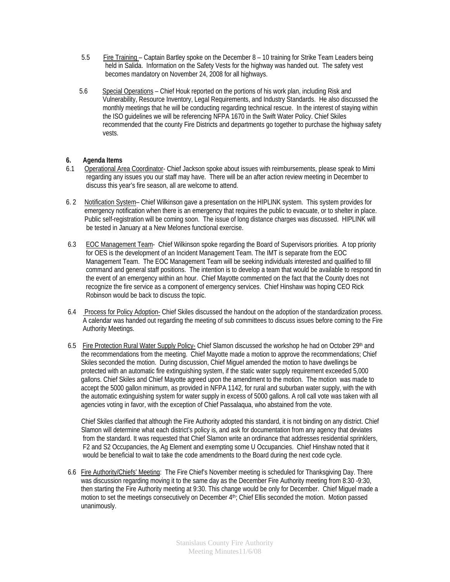- 5.5 Fire Training Captain Bartley spoke on the December 8 10 training for Strike Team Leaders being held in Salida. Information on the Safety Vests for the highway was handed out. The safety vest becomes mandatory on November 24, 2008 for all highways.
- 5.6 Special Operations Chief Houk reported on the portions of his work plan, including Risk and Vulnerability, Resource Inventory, Legal Requirements, and Industry Standards. He also discussed the monthly meetings that he will be conducting regarding technical rescue. In the interest of staying within the ISO guidelines we will be referencing NFPA 1670 in the Swift Water Policy. Chief Skiles recommended that the county Fire Districts and departments go together to purchase the highway safety vests.

## **6. Agenda Items**

- 6.1 Operational Area Coordinator- Chief Jackson spoke about issues with reimbursements, please speak to Mimi regarding any issues you our staff may have. There will be an after action review meeting in December to discuss this year's fire season, all are welcome to attend.
- 6. 2 Notification System– Chief Wilkinson gave a presentation on the HIPLINK system. This system provides for emergency notification when there is an emergency that requires the public to evacuate, or to shelter in place. Public self-registration will be coming soon. The issue of long distance charges was discussed. HIPLINK will be tested in January at a New Melones functional exercise.
- 6.3 EOC Management Team- Chief Wilkinson spoke regarding the Board of Supervisors priorities. A top priority for OES is the development of an Incident Management Team. The IMT is separate from the EOC Management Team. The EOC Management Team will be seeking individuals interested and qualified to fill command and general staff positions. The intention is to develop a team that would be available to respond tin the event of an emergency within an hour. Chief Mayotte commented on the fact that the County does not recognize the fire service as a component of emergency services. Chief Hinshaw was hoping CEO Rick Robinson would be back to discuss the topic.
- 6.4 Process for Policy Adoption- Chief Skiles discussed the handout on the adoption of the standardization process. A calendar was handed out regarding the meeting of sub committees to discuss issues before coming to the Fire Authority Meetings.
- 6.5 Fire Protection Rural Water Supply Policy- Chief Slamon discussed the workshop he had on October 29th and the recommendations from the meeting. Chief Mayotte made a motion to approve the recommendations; Chief Skiles seconded the motion. During discussion, Chief Miguel amended the motion to have dwellings be protected with an automatic fire extinguishing system, if the static water supply requirement exceeded 5,000 gallons. Chief Skiles and Chief Mayotte agreed upon the amendment to the motion. The motion was made to accept the 5000 gallon minimum, as provided in NFPA 1142, for rural and suburban water supply, with the with the automatic extinguishing system for water supply in excess of 5000 gallons. A roll call vote was taken with all agencies voting in favor, with the exception of Chief Passalaqua, who abstained from the vote.

 Chief Skiles clarified that although the Fire Authority adopted this standard, it is not binding on any district. Chief Slamon will determine what each district's policy is, and ask for documentation from any agency that deviates from the standard. It was requested that Chief Slamon write an ordinance that addresses residential sprinklers, F2 and S2 Occupancies, the Ag Element and exempting some U Occupancies. Chief Hinshaw noted that it would be beneficial to wait to take the code amendments to the Board during the next code cycle.

6.6 Fire Authority/Chiefs' Meeting: The Fire Chief's November meeting is scheduled for Thanksgiving Day. There was discussion regarding moving it to the same day as the December Fire Authority meeting from 8:30 -9:30, then starting the Fire Authority meeting at 9:30. This change would be only for December. Chief Miguel made a motion to set the meetings consecutively on December 4th; Chief Ellis seconded the motion. Motion passed unanimously.